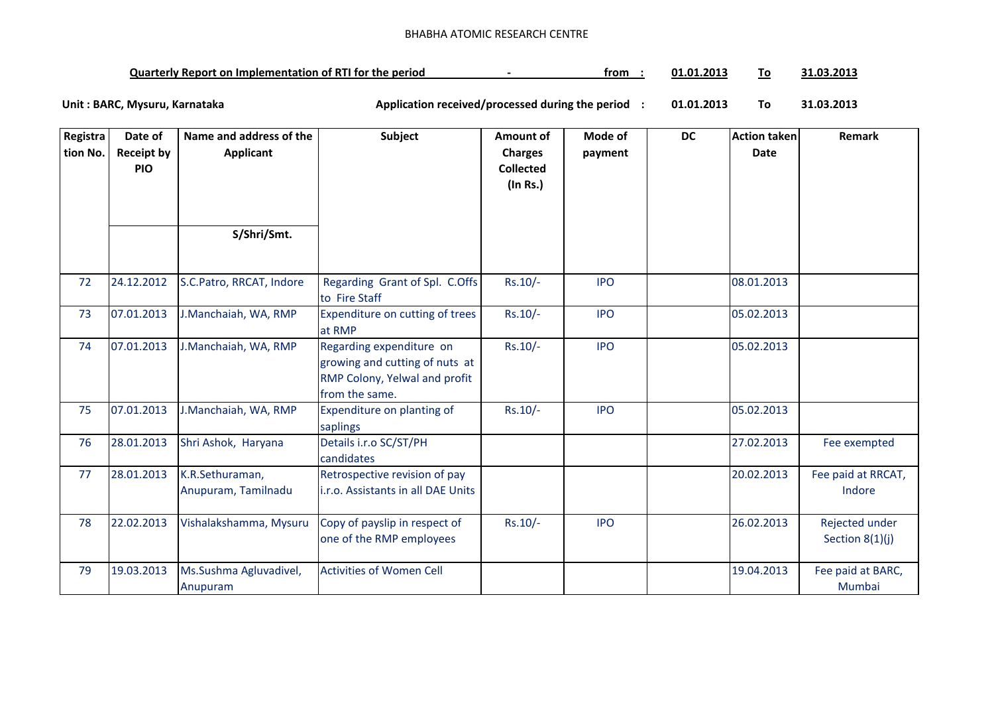## BHABHA ATOMIC RESEARCH CENTRE

| Quarterly Report on Implementation of RTI for the period | trom | 01.01.2013 |  | 31.03.2013 |
|----------------------------------------------------------|------|------------|--|------------|
|----------------------------------------------------------|------|------------|--|------------|

**01.01.2013 To 31.03.2013** Unit : BARC, Mysuru, Karnataka **Alexander State and Application received/processed during the period** :

| Registra<br>tion No. | Date of<br><b>Receipt by</b><br><b>PIO</b> | Name and address of the<br><b>Applicant</b> | <b>Subject</b>                                                                                                | Amount of<br><b>Charges</b><br><b>Collected</b><br>(In Rs.) | Mode of<br>payment | <b>DC</b> | <b>Action taken</b><br><b>Date</b> | Remark                            |
|----------------------|--------------------------------------------|---------------------------------------------|---------------------------------------------------------------------------------------------------------------|-------------------------------------------------------------|--------------------|-----------|------------------------------------|-----------------------------------|
|                      |                                            | S/Shri/Smt.                                 |                                                                                                               |                                                             |                    |           |                                    |                                   |
| 72                   | 24.12.2012                                 | S.C.Patro, RRCAT, Indore                    | Regarding Grant of Spl. C.Offs<br>to Fire Staff                                                               | $Rs.10/-$                                                   | <b>IPO</b>         |           | 08.01.2013                         |                                   |
| 73                   | 07.01.2013                                 | J.Manchaiah, WA, RMP                        | Expenditure on cutting of trees<br>at RMP                                                                     | Rs.10/-                                                     | <b>IPO</b>         |           | 05.02.2013                         |                                   |
| 74                   | 07.01.2013                                 | J.Manchaiah, WA, RMP                        | Regarding expenditure on<br>growing and cutting of nuts at<br>RMP Colony, Yelwal and profit<br>from the same. | Rs.10/-                                                     | <b>IPO</b>         |           | 05.02.2013                         |                                   |
| 75                   | 07.01.2013                                 | J.Manchaiah, WA, RMP                        | Expenditure on planting of<br>saplings                                                                        | Rs.10/-                                                     | <b>IPO</b>         |           | 05.02.2013                         |                                   |
| 76                   | 28.01.2013                                 | Shri Ashok, Haryana                         | Details i.r.o SC/ST/PH<br>candidates                                                                          |                                                             |                    |           | 27.02.2013                         | Fee exempted                      |
| 77                   | 28.01.2013                                 | K.R.Sethuraman,<br>Anupuram, Tamilnadu      | Retrospective revision of pay<br>i.r.o. Assistants in all DAE Units                                           |                                                             |                    |           | 20.02.2013                         | Fee paid at RRCAT,<br>Indore      |
| 78                   | 22.02.2013                                 | Vishalakshamma, Mysuru                      | Copy of payslip in respect of<br>one of the RMP employees                                                     | Rs.10/-                                                     | <b>IPO</b>         |           | 26.02.2013                         | Rejected under<br>Section 8(1)(j) |
| 79                   | 19.03.2013                                 | Ms.Sushma Agluvadivel,<br>Anupuram          | <b>Activities of Women Cell</b>                                                                               |                                                             |                    |           | 19.04.2013                         | Fee paid at BARC,<br>Mumbai       |